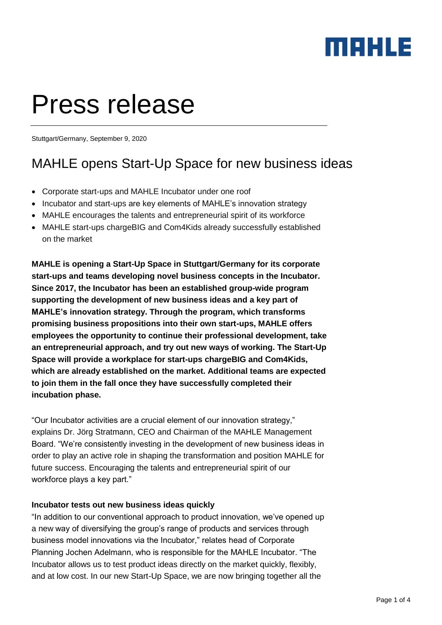### maxua

# Press release

Stuttgart/Germany, September 9, 2020

### MAHLE opens Start-Up Space for new business ideas

- Corporate start-ups and MAHLE Incubator under one roof
- Incubator and start-ups are key elements of MAHLE's innovation strategy
- MAHLE encourages the talents and entrepreneurial spirit of its workforce
- MAHLE start-ups chargeBIG and Com4Kids already successfully established on the market

**MAHLE is opening a Start-Up Space in Stuttgart/Germany for its corporate start-ups and teams developing novel business concepts in the Incubator. Since 2017, the Incubator has been an established group-wide program supporting the development of new business ideas and a key part of MAHLE's innovation strategy. Through the program, which transforms promising business propositions into their own start-ups, MAHLE offers employees the opportunity to continue their professional development, take an entrepreneurial approach, and try out new ways of working. The Start-Up Space will provide a workplace for start-ups chargeBIG and Com4Kids, which are already established on the market. Additional teams are expected to join them in the fall once they have successfully completed their incubation phase.**

"Our Incubator activities are a crucial element of our innovation strategy," explains Dr. Jörg Stratmann, CEO and Chairman of the MAHLE Management Board. "We're consistently investing in the development of new business ideas in order to play an active role in shaping the transformation and position MAHLE for future success. Encouraging the talents and entrepreneurial spirit of our workforce plays a key part."

#### **Incubator tests out new business ideas quickly**

"In addition to our conventional approach to product innovation, we've opened up a new way of diversifying the group's range of products and services through business model innovations via the Incubator," relates head of Corporate Planning Jochen Adelmann, who is responsible for the MAHLE Incubator. "The Incubator allows us to test product ideas directly on the market quickly, flexibly, and at low cost. In our new Start-Up Space, we are now bringing together all the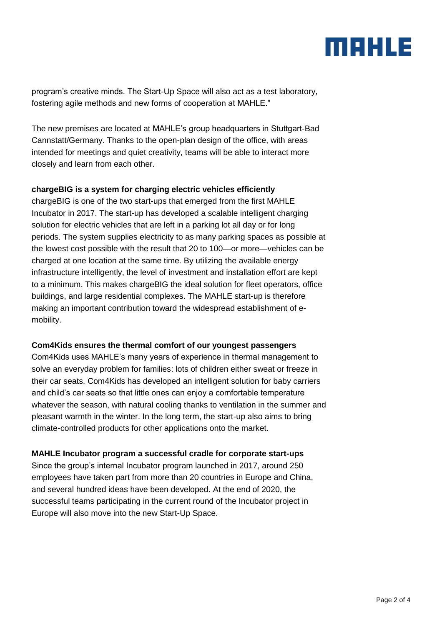### MAHLE

program's creative minds. The Start-Up Space will also act as a test laboratory, fostering agile methods and new forms of cooperation at MAHLE."

The new premises are located at MAHLE's group headquarters in Stuttgart-Bad Cannstatt/Germany. Thanks to the open-plan design of the office, with areas intended for meetings and quiet creativity, teams will be able to interact more closely and learn from each other.

#### **chargeBIG is a system for charging electric vehicles efficiently**

chargeBIG is one of the two start-ups that emerged from the first MAHLE Incubator in 2017. The start-up has developed a scalable intelligent charging solution for electric vehicles that are left in a parking lot all day or for long periods. The system supplies electricity to as many parking spaces as possible at the lowest cost possible with the result that 20 to 100—or more—vehicles can be charged at one location at the same time. By utilizing the available energy infrastructure intelligently, the level of investment and installation effort are kept to a minimum. This makes chargeBIG the ideal solution for fleet operators, office buildings, and large residential complexes. The MAHLE start-up is therefore making an important contribution toward the widespread establishment of emobility.

#### **Com4Kids ensures the thermal comfort of our youngest passengers**

Com4Kids uses MAHLE's many years of experience in thermal management to solve an everyday problem for families: lots of children either sweat or freeze in their car seats. Com4Kids has developed an intelligent solution for baby carriers and child's car seats so that little ones can enjoy a comfortable temperature whatever the season, with natural cooling thanks to ventilation in the summer and pleasant warmth in the winter. In the long term, the start-up also aims to bring climate-controlled products for other applications onto the market.

#### **MAHLE Incubator program a successful cradle for corporate start-ups**

Since the group's internal Incubator program launched in 2017, around 250 employees have taken part from more than 20 countries in Europe and China, and several hundred ideas have been developed. At the end of 2020, the successful teams participating in the current round of the Incubator project in Europe will also move into the new Start-Up Space.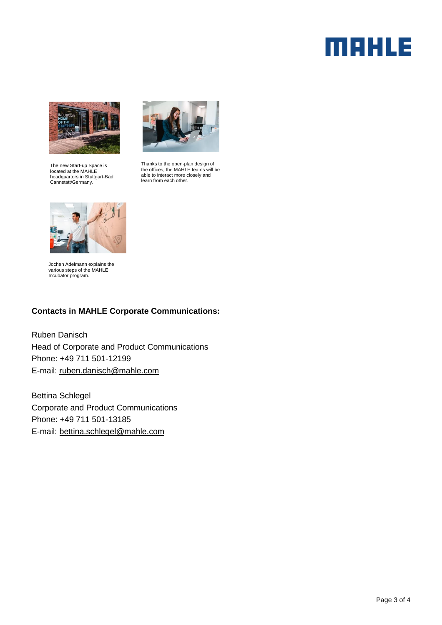## **MAHLE**



The new Start-up Space is located at the MAHLE headquarters in Stuttgart-Bad Cannstatt/Germany.



Thanks to the open-plan design of the offices, the MAHLE teams will be able to interact more closely and learn from each other.



Jochen Adelmann explains the various steps of the MAHLE Incubator program.

#### **Contacts in MAHLE Corporate Communications:**

Ruben Danisch Head of Corporate and Product Communications Phone: +49 711 501-12199 E-mail: [ruben.danisch@mahle.com](mailto:ruben.danisch@mahle.com)

Bettina Schlegel Corporate and Product Communications Phone: +49 711 501-13185 E-mail: [bettina.schlegel@mahle.com](mailto:bettina.schlegel@mahle.com)